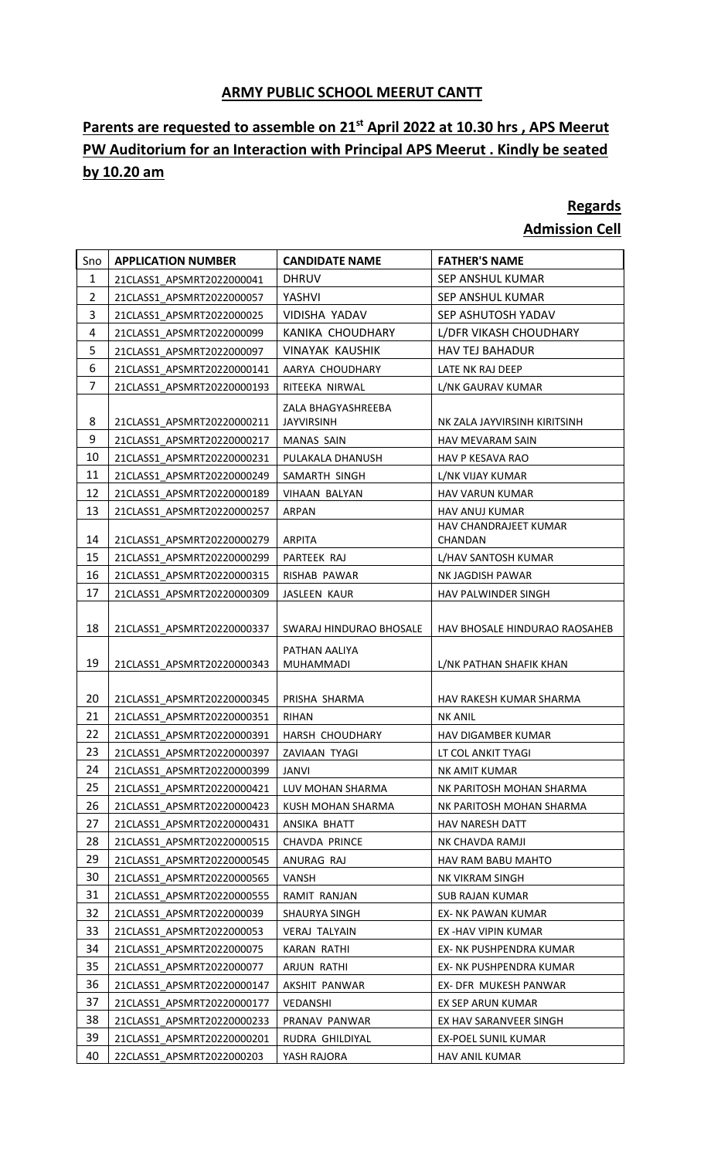## **ARMY PUBLIC SCHOOL MEERUT CANTT**

## **Parents are requested to assemble on 21st April 2022 at 10.30 hrs , APS Meerut PW Auditorium for an Interaction with Principal APS Meerut . Kindly be seated by 10.20 am**

## **Regards Admission Cell**

## Sno **APPLICATION NUMBER CANDIDATE NAME FATHER'S NAME** 1 21CLASS1\_APSMRT2022000041 DHRUV SEP ANSHUL KUMAR 2 21CLASS1\_APSMRT2022000057 YASHVI SEP ANSHUL KUMAR 3 21CLASS1\_APSMRT2022000025 VIDISHA YADAV SEP ASHUTOSH YADAV 4 21CLASS1\_APSMRT2022000099 | KANIKA CHOUDHARY | L/DFR VIKASH CHOUDHARY 5 21CLASS1\_APSMRT2022000097 VINAYAK KAUSHIK | HAV TEJ BAHADUR 6 21CLASS1\_APSMRT20220000141 AARYA CHOUDHARY LATE NK RAJ DEEP 7 21CLASS1\_APSMRT20220000193 RITEEKA NIRWAL L/NK GAURAV KUMAR 8 21CLASS1\_APSMRT20220000211 ZALA BHAGYASHREEBA JAYVIRSINH NK ZALA JAYVIRSINH KIRITSINH 9 21CLASS1\_APSMRT20220000217 MANAS SAIN HAV MEVARAM SAIN 10 21CLASS1\_APSMRT20220000231 PULAKALA DHANUSH HAV P KESAVA RAO 11 21CLASS1\_APSMRT20220000249 SAMARTH SINGH L/NK VIJAY KUMAR 12 | 21CLASS1\_APSMRT20220000189 | VIHAAN BALYAN | HAV VARUN KUMAR 13 21CLASS1\_APSMRT20220000257 ARPAN HAV ANUJ KUMAR 14 21CLASS1 APSMRT20220000279 ARPITA HAV CHANDRAJEET KUMAR CHANDAN 15 21CLASS1\_APSMRT20220000299 PARTEEK RAJ L/HAV SANTOSH KUMAR 16 21CLASS1\_APSMRT20220000315 RISHAB PAWAR NK JAGDISH PAWAR 17 21CLASS1\_APSMRT20220000309 JASLEEN KAUR HAV PALWINDER SINGH 18 | 21CLASS1 APSMRT20220000337 | SWARAJ HINDURAO BHOSALE | HAV BHOSALE HINDURAO RAOSAHEB 19 21CLASS1\_APSMRT20220000343 PATHAN AALIYA MUHAMMADI L/NK PATHAN SHAFIK KHAN 20 21CLASS1\_APSMRT20220000345 PRISHA SHARMA HAV RAKESH KUMAR SHARMA 21 21CLASS1\_APSMRT20220000351 RIHAN NK ANIL 22 21CLASS1\_APSMRT20220000391 | HARSH CHOUDHARY | HAV DIGAMBER KUMAR 23 21CLASS1\_APSMRT20220000397 ZAVIAAN TYAGI LT COL ANKIT TYAGI 24 21CLASS1\_APSMRT20220000399 JANVI NK AMIT KUMAR 25 21CLASS1\_APSMRT20220000421 LUV MOHAN SHARMA NK PARITOSH MOHAN SHARMA 26 | 21CLASS1\_APSMRT20220000423 | KUSH MOHAN SHARMA | NK PARITOSH MOHAN SHARMA 27 21CLASS1\_APSMRT20220000431 ANSIKA BHATT HAV NARESH DATT 28 21CLASS1 APSMRT20220000515 CHAVDA PRINCE NK CHAVDA RAMJI 29 21CLASS1\_APSMRT20220000545 ANURAG RAJ HAV RAM BABU MAHTO 30 21CLASS1\_APSMRT20220000565 VANSH NK VIKRAM SINGH 31 21CLASS1\_APSMRT20220000555 RAMIT RANJAN SUB RAJAN KUMAR 32 21CLASS1\_APSMRT2022000039 SHAURYA SINGH EX- NK PAWAN KUMAR 33 21CLASS1\_APSMRT2022000053 VERAJ TALYAIN EX -HAV VIPIN KUMAR 34 21CLASS1 APSMRT2022000075 KARAN RATHI EX- NK PUSHPENDRA KUMAR 35 21CLASS1\_APSMRT2022000077 ARJUN RATHI EX- NK PUSHPENDRA KUMAR 36 21CLASS1 APSMRT20220000147 AKSHIT PANWAR | EX- DFR MUKESH PANWAR 37 21CLASS1 APSMRT20220000177 VEDANSHI EX SEP ARUN KUMAR 38 21CLASS1\_APSMRT20220000233 PRANAV PANWAR EX HAV SARANVEER SINGH 39 21CLASS1\_APSMRT20220000201 RUDRA GHILDIYAL EX-POEL SUNIL KUMAR

40 22CLASS1\_APSMRT2022000203 YASH RAJORA HAV ANIL KUMAR